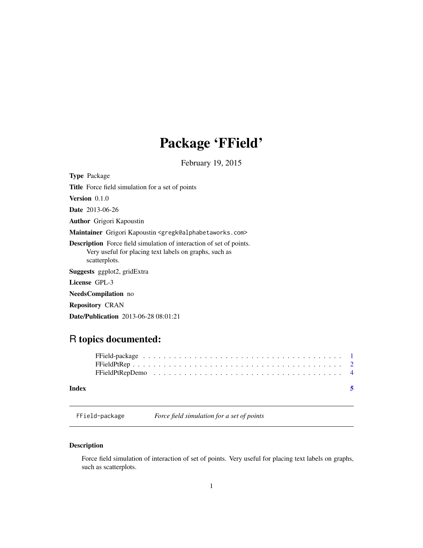## Package 'FField'

February 19, 2015

<span id="page-0-0"></span>

| <b>Type Package</b>                                                                                                                                   |
|-------------------------------------------------------------------------------------------------------------------------------------------------------|
| <b>Title</b> Force field simulation for a set of points                                                                                               |
| <b>Version</b> $0.1.0$                                                                                                                                |
| <b>Date</b> 2013-06-26                                                                                                                                |
| <b>Author</b> Grigori Kapoustin                                                                                                                       |
| Maintainer Grigori Kapoustin <gregk@alphabetaworks.com></gregk@alphabetaworks.com>                                                                    |
| <b>Description</b> Force field simulation of interaction of set of points.<br>Very useful for placing text labels on graphs, such as<br>scatterplots. |
| <b>Suggests</b> ggplot2, gridExtra                                                                                                                    |
| License GPL-3                                                                                                                                         |
| <b>NeedsCompilation</b> no                                                                                                                            |
| <b>Repository CRAN</b>                                                                                                                                |

## Date/Publication 2013-06-28 08:01:21

## R topics documented:

## **Index** [5](#page-4-0). The second state of the second state of the second state of the second state of the second state of the second state of the second state of the second state of the second state of the second state of the second

<span id="page-0-1"></span>FField-package *Force field simulation for a set of points*

## Description

Force field simulation of interaction of set of points. Very useful for placing text labels on graphs, such as scatterplots.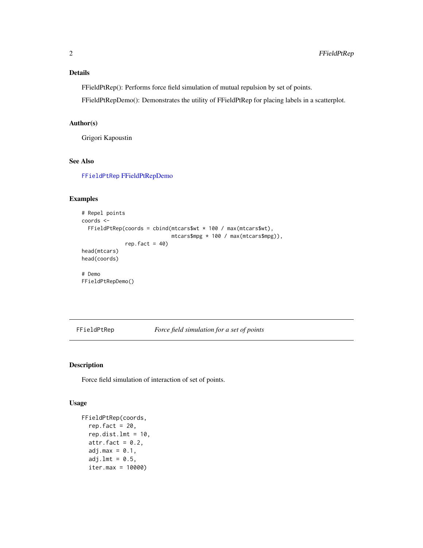## <span id="page-1-0"></span>Details

FFieldPtRep(): Performs force field simulation of mutual repulsion by set of points.

FFieldPtRepDemo(): Demonstrates the utility of FFieldPtRep for placing labels in a scatterplot.

## Author(s)

Grigori Kapoustin

## See Also

[FFieldPtRep](#page-1-1) [FFieldPtRepDemo](#page-3-1)

## Examples

```
# Repel points
coords <-
  FFieldPtRep(coords = cbind(mtcars$wt * 100 / max(mtcars$wt),
                             mtcars$mpg * 100 / max(mtcars$mpg)),
              rep.fact = 40)
head(mtcars)
head(coords)
# Demo
FFieldPtRepDemo()
```
<span id="page-1-1"></span>FFieldPtRep *Force field simulation for a set of points*

## Description

Force field simulation of interaction of set of points.

## Usage

```
FFieldPtRep(coords,
  rep.fact = 20,
  rep.dist.lmt = 10,
  attr.fact = 0.2,
  adj.max = 0.1,adj.lmt = 0.5,
  iter.max = 10000)
```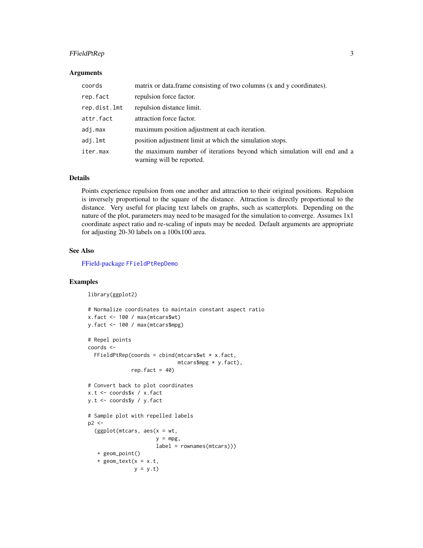## <span id="page-2-0"></span>FFieldPtRep 3

#### **Arguments**

| coords       | matrix or data.frame consisting of two columns (x and y coordinates).                                |
|--------------|------------------------------------------------------------------------------------------------------|
| rep.fact     | repulsion force factor.                                                                              |
| rep.dist.lmt | repulsion distance limit.                                                                            |
| attr.fact    | attraction force factor.                                                                             |
| adj.max      | maximum position adjustment at each iteration.                                                       |
| adj.lmt      | position adjustment limit at which the simulation stops.                                             |
| iter.max     | the maximum number of iterations beyond which simulation will end and a<br>warning will be reported. |

### Details

Points experience repulsion from one another and attraction to their original positions. Repulsion is inversely proportional to the square of the distance. Attraction is directly proportional to the distance. Very useful for placing text labels on graphs, such as scatterplots. Depending on the nature of the plot, parameters may need to be masaged for the simulation to converge. Assumes 1x1 coordinate aspect ratio and re-scaling of inputs may be needed. Default arguments are appropriate for adjusting 20-30 labels on a 100x100 area.

## See Also

[FField-package](#page-0-1) [FFieldPtRepDemo](#page-3-1)

## Examples

```
library(ggplot2)
```

```
# Normalize coordinates to maintain constant aspect ratio
x.fact <- 100 / max(mtcars$wt)
y.fact <- 100 / max(mtcars$mpg)
# Repel points
coords <-
  FFieldPtRep(coords = cbind(mtcars$wt * x.fact,mtcars$mpg * y.fact),
              rep.fact = 40)
# Convert back to plot coordinates
x.t <- coords$x / x.fact
y.t <- coords$y / y.fact
# Sample plot with repelled labels
p2 < -(ggplot(mtcars, aes(x = wt,y = mpg,
                      label = rownames(mtcars)))
  + geom_point()
   + geom\_text(x = x.t,
```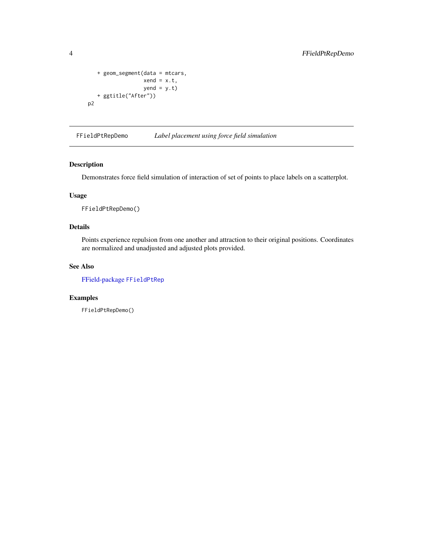```
+ geom_segment(data = mtcars,
                 xend = x.t,yend = y.t)
   + ggtitle("After"))
p2
```
<span id="page-3-1"></span>FFieldPtRepDemo *Label placement using force field simulation*

## Description

Demonstrates force field simulation of interaction of set of points to place labels on a scatterplot.

## Usage

FFieldPtRepDemo()

## Details

Points experience repulsion from one another and attraction to their original positions. Coordinates are normalized and unadjusted and adjusted plots provided.

## See Also

[FField-package](#page-0-1) [FFieldPtRep](#page-1-1)

## Examples

FFieldPtRepDemo()